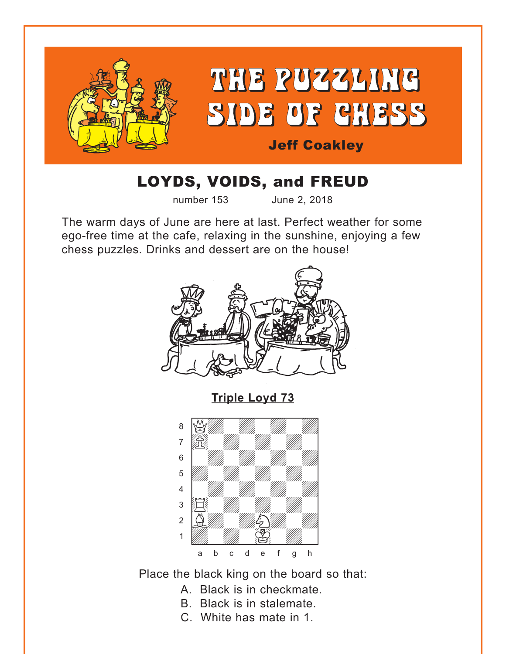<span id="page-0-0"></span>

# LOYDS, VOIDS, and FREUD

number 153 June 2, 2018

The warm days of June are here at last. Perfect weather for some ego-free time at the cafe, relaxing in the sunshine, enjoying a few chess puzzles. Drinks and dessert are on the house!



**[Triple Loyd 73](#page-5-0)**



Place the black king on the board so that:

- A. Black is in checkmate.
- B. Black is in stalemate.
- C. White has mate in 1.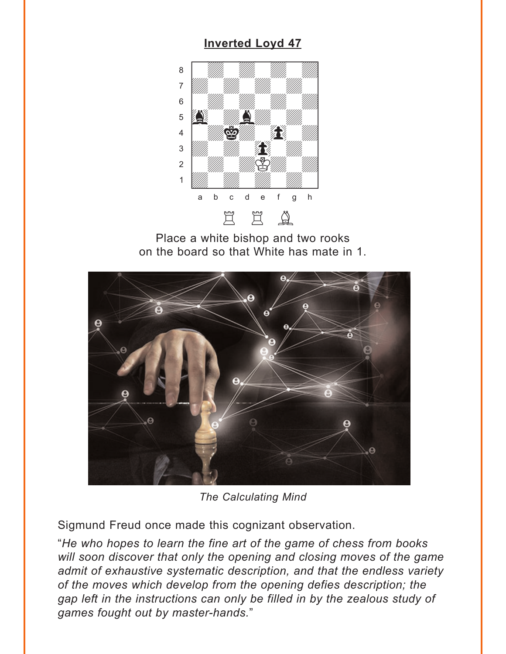### **Inverted Loyd 47**

<span id="page-1-0"></span>

Place a white bishop and two rooks on the board so that White has mate in 1.



The Calculating Mind

Sigmund Freud once made this cognizant observation.

"He who hopes to learn the fine art of the game of chess from books will soon discover that only the opening and closing moves of the game admit of exhaustive systematic description, and that the endless variety of the moves which develop from the opening defies description; the gap left in the instructions can only be filled in by the zealous study of games fought out by master-hands."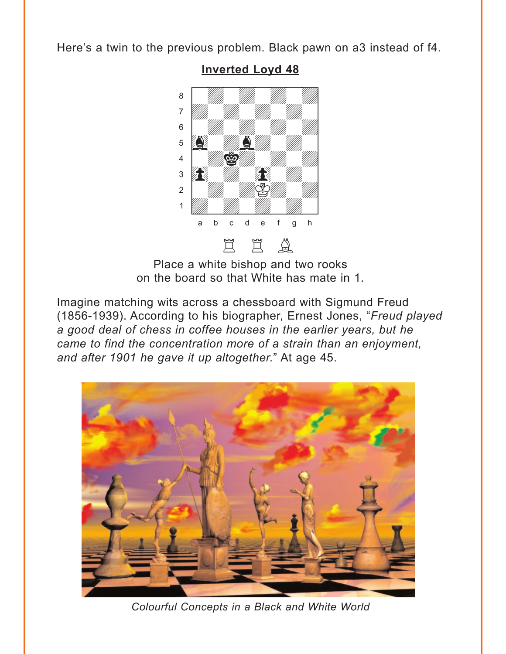<span id="page-2-0"></span>Here's a twin to the previous problem. Black pawn on a3 instead of f4.



**Inverted Loyd 48** 

Place a white bishop and two rooks on the board so that White has mate in 1.

Imagine matching wits across a chessboard with Sigmund Freud (1856-1939). According to his biographer, Ernest Jones, "Freud played a good deal of chess in coffee houses in the earlier years, but he came to find the concentration more of a strain than an enjoyment, and after 1901 he gave it up altogether." At age 45.



Colourful Concepts in a Black and White World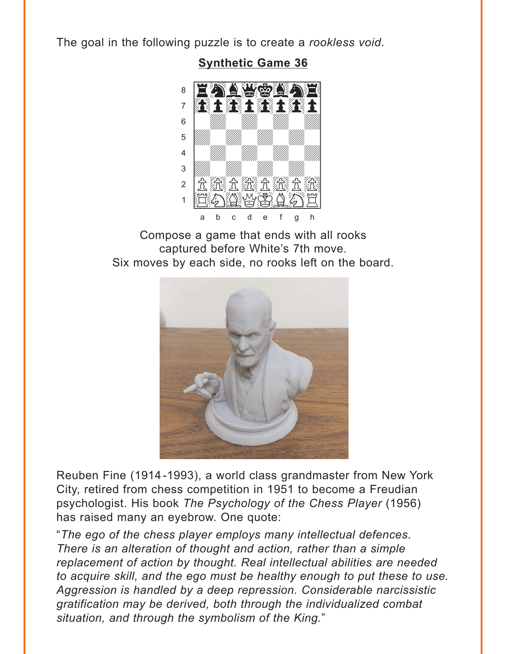<span id="page-3-0"></span>The goal in the following puzzle is to create a rookless void.

**Synthetic Game 36** 



Compose a game that ends with all rooks captured before White's 7th move. Six moves by each side, no rooks left on the board.



Reuben Fine (1914-1993), a world class grandmaster from New York City, retired from chess competition in 1951 to become a Freudian psychologist. His book The Psychology of the Chess Player (1956) has raised many an eyebrow. One quote:

"The ego of the chess player employs many intellectual defences. There is an alteration of thought and action, rather than a simple replacement of action by thought. Real intellectual abilities are needed to acquire skill, and the ego must be healthy enough to put these to use. Aggression is handled by a deep repression. Considerable narcissistic gratification may be derived, both through the individualized combat situation, and through the symbolism of the King."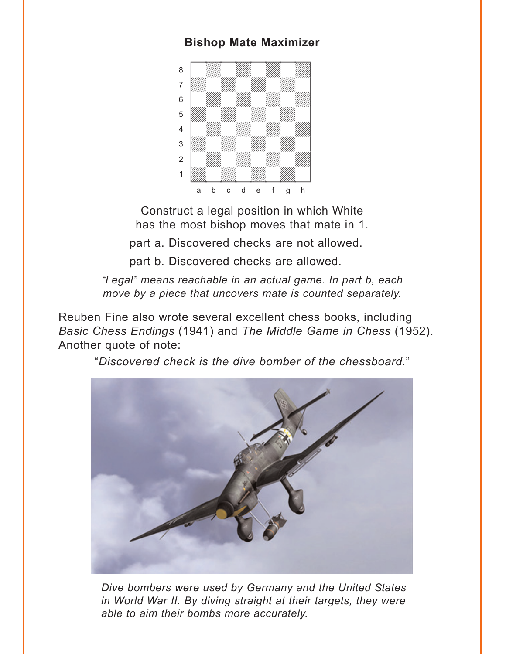### **[Bishop Mate Maximizer](#page-7-0)**

<span id="page-4-0"></span>

Construct a legal position in which White has the most bishop moves that mate in 1.

part a. Discovered checks are not allowed.

part b. Discovered checks are allowed.

*"Legal" means reachable in an actual game. In part b, each move by a piece that uncovers mate is counted separately.*

Reuben Fine also wrote several excellent chess books, including *Basic Chess Endings* (1941) and *The Middle Game in Chess* (1952). Another quote of note:

"*Discovered check is the dive bomber of the chessboard.*"



*Dive bombers were used by Germany and the United States in World War II. By diving straight at their targets, they were able to aim their bombs more accurately.*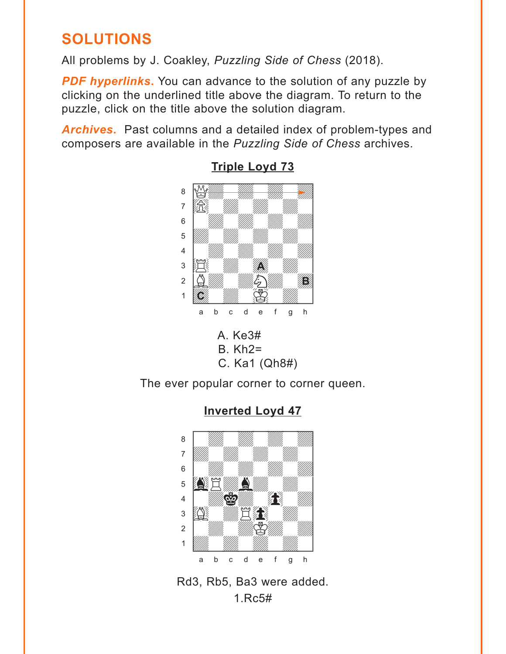## <span id="page-5-0"></span>**SOLUTIONS**

All problems by J. Coakley, *Puzzling Side of Chess* (2018).

**PDF hyperlinks.** You can advance to the solution of any puzzle by clicking on the underlined title above the diagram. To return to the puzzle, click on the title above the solution diagram.

*Archives***.** Past columns and a detailed index of problem-types and composers are available in the *Puzzling Side of Chess* archives.







The ever popular corner to corner queen.





**[Inverted Loyd 47](#page-1-0)**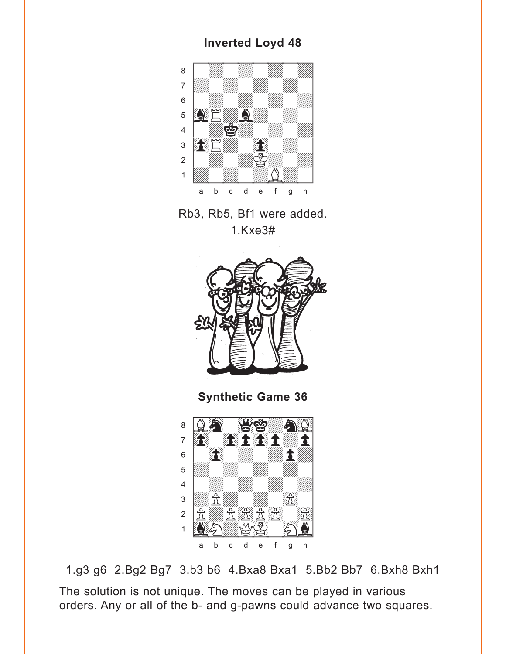### **[Inverted Loyd 48](#page-2-0)**

<span id="page-6-0"></span>

Rb3, Rb5, Bf1 were added. 1.Kxe3#



**[Synthetic Game 36](#page-3-0)**



1.g3 g6 2.Bg2 Bg7 3.b3 b6 4.Bxa8 Bxa1 5.Bb2 Bb7 6.Bxh8 Bxh1 The solution is not unique. The moves can be played in various orders. Any or all of the b- and g-pawns could advance two squares.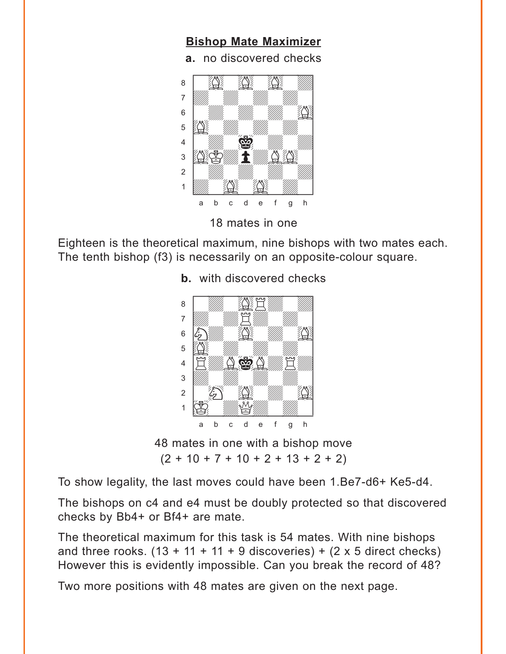<span id="page-7-0"></span>

18 mates in one

Eighteen is the theoretical maximum, nine bishops with two mates each. The tenth bishop (f3) is necessarily on an opposite-colour square.



**b.** [with discovered checks](#page-4-0) 

48 mates in one with a bishop move  $(2 + 10 + 7 + 10 + 2 + 13 + 2 + 2)$ 

To show legality, the last moves could have been 1.Be7-d6+ Ke5-d4.

The bishops on c4 and e4 must be doubly protected so that discovered checks by Bb4+ or Bf4+ are mate.

The theoretical maximum for this task is 54 mates. With nine bishops and three rooks.  $(13 + 11 + 11 + 9$  discoveries) +  $(2 \times 5$  direct checks) However this is evidently impossible. Can you break the record of 48?

Two more positions with 48 mates are given on the next page.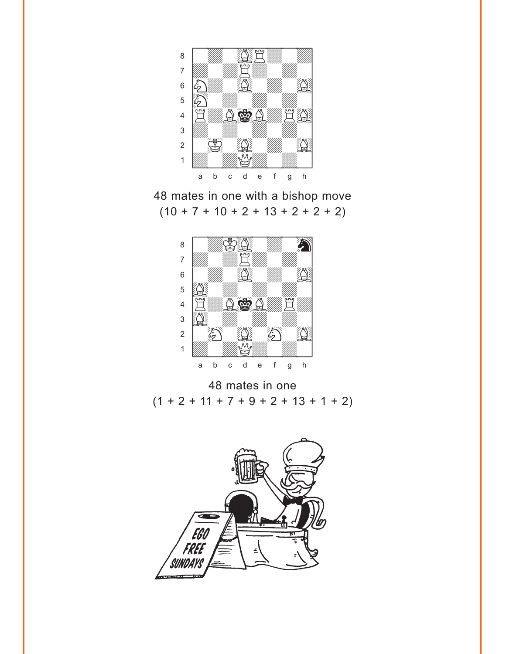

48 mates in one with a bishop move  $(10 + 7 + 10 + 2 + 13 + 2 + 2 + 2)$ 



48 mates in one  $(1 + 2 + 11 + 7 + 9 + 2 + 13 + 1 + 2)$